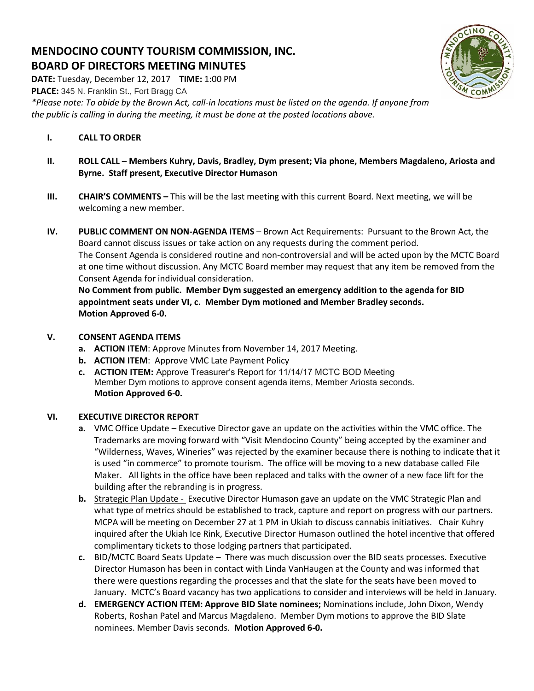# **MENDOCINO COUNTY TOURISM COMMISSION, INC. BOARD OF DIRECTORS MEETING MINUTES**

**DATE:** Tuesday, December 12, 2017 **TIME:** 1:00 PM **PLACE:** 345 N. Franklin St., Fort Bragg CA

*\*Please note: To abide by the Brown Act, call-in locations must be listed on the agenda. If anyone from the public is calling in during the meeting, it must be done at the posted locations above.*

## **I. CALL TO ORDER**

- **II. ROLL CALL – Members Kuhry, Davis, Bradley, Dym present; Via phone, Members Magdaleno, Ariosta and Byrne. Staff present, Executive Director Humason**
- **III. CHAIR'S COMMENTS –** This will be the last meeting with this current Board. Next meeting, we will be welcoming a new member.
- **IV. PUBLIC COMMENT ON NON-AGENDA ITEMS** Brown Act Requirements: Pursuant to the Brown Act, the Board cannot discuss issues or take action on any requests during the comment period. The Consent Agenda is considered routine and non-controversial and will be acted upon by the MCTC Board at one time without discussion. Any MCTC Board member may request that any item be removed from the Consent Agenda for individual consideration.

**No Comment from public. Member Dym suggested an emergency addition to the agenda for BID appointment seats under VI, c. Member Dym motioned and Member Bradley seconds. Motion Approved 6-0.**

### **V. CONSENT AGENDA ITEMS**

- **a. ACTION ITEM**: Approve Minutes from November 14, 2017 Meeting.
- **b. ACTION ITEM**: Approve VMC Late Payment Policy
- **c. ACTION ITEM:** Approve Treasurer's Report for 11/14/17 MCTC BOD Meeting Member Dym motions to approve consent agenda items, Member Ariosta seconds. **Motion Approved 6-0.**

### **VI. EXECUTIVE DIRECTOR REPORT**

- **a.** VMC Office Update Executive Director gave an update on the activities within the VMC office. The Trademarks are moving forward with "Visit Mendocino County" being accepted by the examiner and "Wilderness, Waves, Wineries" was rejected by the examiner because there is nothing to indicate that it is used "in commerce" to promote tourism. The office will be moving to a new database called File Maker. All lights in the office have been replaced and talks with the owner of a new face lift for the building after the rebranding is in progress.
- **b.** Strategic Plan Update Executive Director Humason gave an update on the VMC Strategic Plan and [what type of metrics should be established to track, capture and report on progress with our partners.](https://trello.com/b/fPWrmc5Z)  [MCPA will be meeting on December 27 at 1 PM in Ukiah to discuss cannabis initiatives. Chair Kuhry](https://trello.com/b/fPWrmc5Z)  [inquired after the Ukiah Ice Rink, Executive Director Humason outlined the hotel incentive](https://trello.com/b/fPWrmc5Z) that offered [complimentary tickets to those lodging partners that participated.](https://trello.com/b/fPWrmc5Z)
- **c.** BID/MCTC Board Seats Update There was much discussion over the BID seats processes. Executive Director Humason has been in contact with Linda VanHaugen at the County and was informed that there were questions regarding the processes and that the slate for the seats have been moved to January. MCTC's Board vacancy has two applications to consider and interviews will be held in January.
- **d. EMERGENCY ACTION ITEM: Approve BID Slate nominees;** Nominations include, John Dixon, Wendy Roberts, Roshan Patel and Marcus Magdaleno. Member Dym motions to approve the BID Slate nominees. Member Davis seconds. **Motion Approved 6-0.**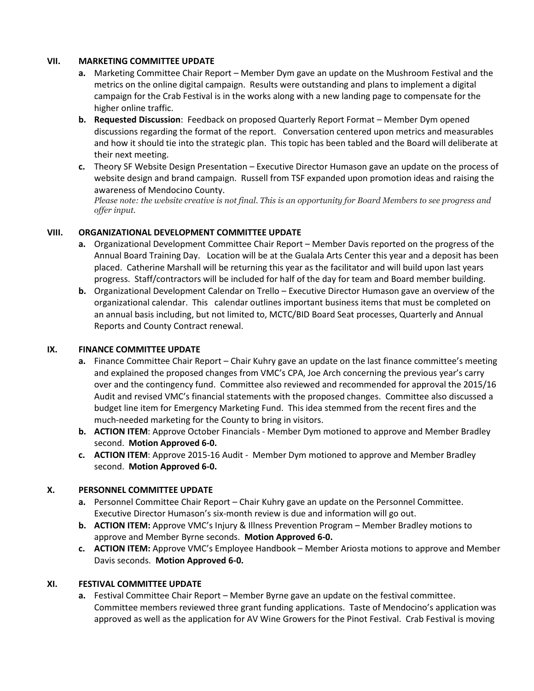### **VII. MARKETING COMMITTEE UPDATE**

- **a.** Marketing Committee Chair Report Member Dym gave an update on the Mushroom Festival and the metrics on the online digital campaign. Results were outstanding and plans to implement a digital campaign for the Crab Festival is in the works along with a new landing page to compensate for the higher online traffic.
- **b. Requested Discussion**: Feedback on proposed Quarterly Report Format Member Dym opened discussions regarding the format of the report. Conversation centered upon metrics and measurables and how it should tie into the strategic plan. This topic has been tabled and the Board will deliberate at their next meeting.
- **c.** Theory SF Website Design Presentation Executive Director Humason gave an update on the process of website design and brand campaign. Russell from TSF expanded upon promotion ideas and raising the awareness of Mendocino County.

*Please note: the website creative is not final. This is an opportunity for Board Members to see progress and offer input.*

### **VIII. ORGANIZATIONAL DEVELOPMENT COMMITTEE UPDATE**

- **a.** Organizational Development Committee Chair Report Member Davis reported on the progress of the Annual Board Training Day. Location will be at the Gualala Arts Center this year and a deposit has been placed. Catherine Marshall will be returning this year as the facilitator and will build upon last years progress. Staff/contractors will be included for half of the day for team and Board member building.
- **b.** Organizational Development Calendar on Trello Executive Director Humason gave an overview of the organizational calendar. This calendar outlines important business items that must be completed on an annual basis including, but not limited to, MCTC/BID Board Seat processes, Quarterly and Annual Reports and County Contract renewal.

### **IX. FINANCE COMMITTEE UPDATE**

- **a.** Finance Committee Chair Report Chair Kuhry gave an update on the last finance committee's meeting and explained the proposed changes from VMC's CPA, Joe Arch concerning the previous year's carry over and the contingency fund. Committee also reviewed and recommended for approval the 2015/16 Audit and revised VMC's financial statements with the proposed changes. Committee also discussed a budget line item for Emergency Marketing Fund. This idea stemmed from the recent fires and the much-needed marketing for the County to bring in visitors.
- **b. ACTION ITEM**: Approve October Financials Member Dym motioned to approve and Member Bradley second. **Motion Approved 6-0.**
- **c. ACTION ITEM**: Approve 2015-16 Audit Member Dym motioned to approve and Member Bradley second. **Motion Approved 6-0.**

### **X. PERSONNEL COMMITTEE UPDATE**

- **a.** Personnel Committee Chair Report Chair Kuhry gave an update on the Personnel Committee. Executive Director Humason's six-month review is due and information will go out.
- **b. ACTION ITEM:** Approve VMC's Injury & Illness Prevention Program Member Bradley motions to approve and Member Byrne seconds. **Motion Approved 6-0.**
- **c. ACTION ITEM:** Approve VMC's Employee Handbook Member Ariosta motions to approve and Member Davis seconds. **Motion Approved 6-0.**

#### **XI. FESTIVAL COMMITTEE UPDATE**

**a.** Festival Committee Chair Report – Member Byrne gave an update on the festival committee. Committee members reviewed three grant funding applications. Taste of Mendocino's application was approved as well as the application for AV Wine Growers for the Pinot Festival. Crab Festival is moving